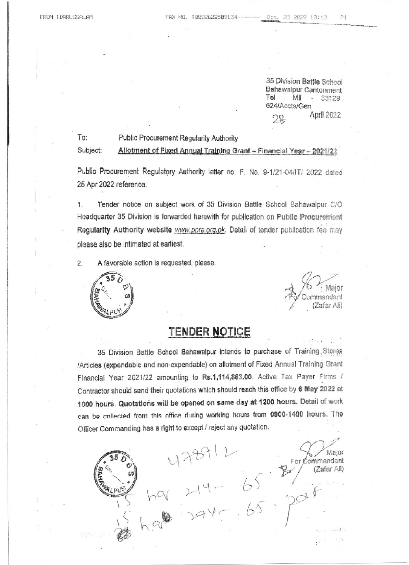To:

35 Division Battle School Bahawalpur Cantonment  $-33129$ Tel Mil 624/Accts/Gen April 2022  $28$ 

## Public Procurement Regularity Authority

Subject: Allotment of Fixed Annual Training Grant - Financial Year - 2021/22

Public Procurement Regulatory Authority letter no. F. No. 9-1/21-04/IT/ 2022 dated 25 Apr 2022 reference.

1. Tender notice on subject work of 35 Division Battle School Bahawalpur C/O Headquarter 35 Division is forwarded herewith for publication on Public Procurement Regularity Authority website www.ppra.org.pk. Detail of tender publication fee may please also be intimated at earliest.

 $2.$ A favorable action is requested, please.



Major Commandant (Zafar Ali)

Major

(Zafar Ali)

For Commandant

## **TENDER NOTICE**

35 Division Battle School Bahawalpur intends to purchase of Training Stores /Articles (expendable and non-expendable) on allotment of Fixed Annual Training Grant Financial Year 2021/22 amounting to Rs.1,114,863.00. Active Tax Payer Firms / Contractor should send their quotations which should reach this office by 6 May 2022 at 1000 hours. Quotations will be opened on same day at 1200 hours. Detail of work can be collected from this office during working hours from 0900-1400 hours. The Officer Commanding has a right to except / reject any quotation. 478912<br>ha 214-65 \$